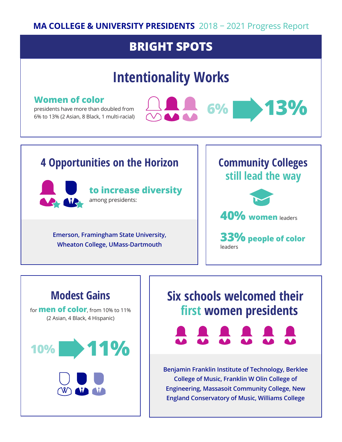#### **MA COLLEGE & UNIVERSITY PRESIDENTS** 2018 − 2021 Progress Report

#### **BRIGHT SPOTS**

# **Intentionality Works**

#### **Women of color**

presidents have more than doubled from 6% to 13% (2 Asian, 8 Black, 1 multi-racial)



#### **4 Opportunities on the Horizon Community Colleges**



**Emerson, Framingham State University, Wheaton College, UMass-Dartmouth**

# **still lead the way**





**33% people of color** leaders

# **Modest Gains** for **men of color**, from 10% to 11% (2 Asian, 4 Black, 4 Hispanic) **10% 11%**

# **Six schools welcomed their first women presidents**



**Benjamin Franklin Institute of Technology, Berklee College of Music, Franklin W Olin College of Engineering, Massasoit Community College, New England Conservatory of Music, Williams College**